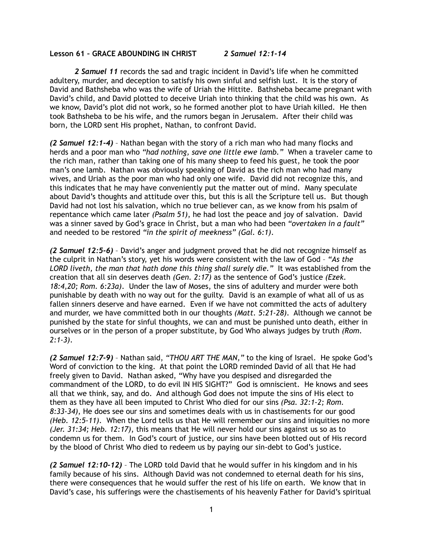## **Lesson 61 – GRACE ABOUNDING IN CHRIST** *2 Samuel 12:1-14*

*2 Samuel 11* records the sad and tragic incident in David's life when he committed adultery, murder, and deception to satisfy his own sinful and selfish lust. It is the story of David and Bathsheba who was the wife of Uriah the Hittite. Bathsheba became pregnant with David's child, and David plotted to deceive Uriah into thinking that the child was his own. As we know, David's plot did not work, so he formed another plot to have Uriah killed. He then took Bathsheba to be his wife, and the rumors began in Jerusalem. After their child was born, the LORD sent His prophet, Nathan, to confront David.

*(2 Samuel 12:1-4)* – Nathan began with the story of a rich man who had many flocks and herds and a poor man who *"had nothing, save one little ewe lamb."* When a traveler came to the rich man, rather than taking one of his many sheep to feed his guest, he took the poor man's one lamb. Nathan was obviously speaking of David as the rich man who had many wives, and Uriah as the poor man who had only one wife. David did not recognize this, and this indicates that he may have conveniently put the matter out of mind. Many speculate about David's thoughts and attitude over this, but this is all the Scripture tell us. But though David had not lost his salvation, which no true believer can, as we know from his psalm of repentance which came later *(Psalm 51)*, he had lost the peace and joy of salvation. David was a sinner saved by God's grace in Christ, but a man who had been *"overtaken in a fault"* and needed to be restored *"in the spirit of meekness" (Gal. 6:1)*.

*(2 Samuel 12:5-6)* – David's anger and judgment proved that he did not recognize himself as the culprit in Nathan's story, yet his words were consistent with the law of God – *"As the LORD liveth, the man that hath done this thing shall surely die."* It was established from the creation that all sin deserves death *(Gen. 2:17)* as the sentence of God's justice *(Ezek. 18:4,20; Rom. 6:23a)*. Under the law of Moses, the sins of adultery and murder were both punishable by death with no way out for the guilty. David is an example of what all of us as fallen sinners deserve and have earned. Even if we have not committed the acts of adultery and murder, we have committed both in our thoughts *(Matt. 5:21-28)*. Although we cannot be punished by the state for sinful thoughts, we can and must be punished unto death, either in ourselves or in the person of a proper substitute, by God Who always judges by truth *(Rom. 2:1-3)*.

*(2 Samuel 12:7-9)* – Nathan said, *"THOU ART THE MAN,"* to the king of Israel. He spoke God's Word of conviction to the king. At that point the LORD reminded David of all that He had freely given to David. Nathan asked, "Why have you despised and disregarded the commandment of the LORD, to do evil IN HIS SIGHT?" God is omniscient. He knows and sees all that we think, say, and do. And although God does not impute the sins of His elect to them as they have all been imputed to Christ Who died for our sins *(Psa. 32:1-2; Rom. 8:33-34)*, He does see our sins and sometimes deals with us in chastisements for our good *(Heb. 12:5-11)*. When the Lord tells us that He will remember our sins and iniquities no more *(Jer. 31:34; Heb. 12:17)*, this means that He will never hold our sins against us so as to condemn us for them. In God's court of justice, our sins have been blotted out of His record by the blood of Christ Who died to redeem us by paying our sin-debt to God's justice.

*(2 Samuel 12:10-12)* – The LORD told David that he would suffer in his kingdom and in his family because of his sins. Although David was not condemned to eternal death for his sins, there were consequences that he would suffer the rest of his life on earth. We know that in David's case, his sufferings were the chastisements of his heavenly Father for David's spiritual